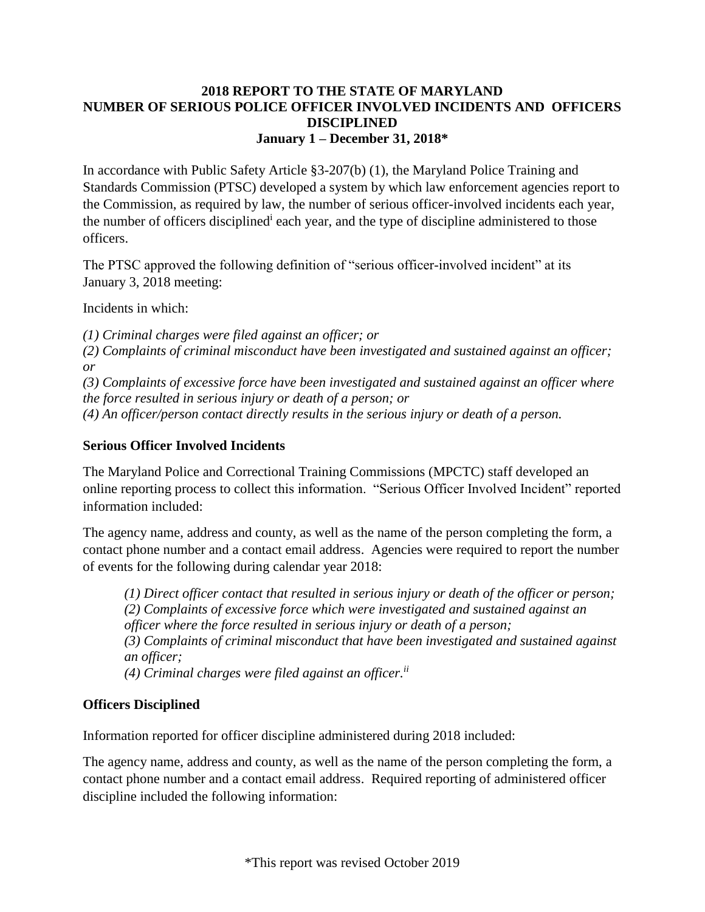#### **2018 REPORT TO THE STATE OF MARYLAND NUMBER OF SERIOUS POLICE OFFICER INVOLVED INCIDENTS AND OFFICERS DISCIPLINED January 1 – December 31, 2018\***

In accordance with Public Safety Article §3-207(b) (1), the Maryland Police Training and Standards Commission (PTSC) developed a system by which law enforcement agencies report to the Commission, as required by law, the number of serious officer-involved incidents each year, the number of officers disciplined<sup>i</sup> each year, and the type of discipline administered to those officers.

The PTSC approved the following definition of "serious officer-involved incident" at its January 3, 2018 meeting:

Incidents in which:

*(1) Criminal charges were filed against an officer; or* 

*(2) Complaints of criminal misconduct have been investigated and sustained against an officer; or* 

*(3) Complaints of excessive force have been investigated and sustained against an officer where the force resulted in serious injury or death of a person; or* 

*(4) An officer/person contact directly results in the serious injury or death of a person.* 

## **Serious Officer Involved Incidents**

The Maryland Police and Correctional Training Commissions (MPCTC) staff developed an online reporting process to collect this information. "Serious Officer Involved Incident" reported information included:

The agency name, address and county, as well as the name of the person completing the form, a contact phone number and a contact email address. Agencies were required to report the number of events for the following during calendar year 2018:

*(1) Direct officer contact that resulted in serious injury or death of the officer or person; (2) Complaints of excessive force which were investigated and sustained against an officer where the force resulted in serious injury or death of a person; (3) Complaints of criminal misconduct that have been investigated and sustained against an officer; (4) Criminal charges were filed against an officer.ii*

### **Officers Disciplined**

Information reported for officer discipline administered during 2018 included:

The agency name, address and county, as well as the name of the person completing the form, a contact phone number and a contact email address. Required reporting of administered officer discipline included the following information: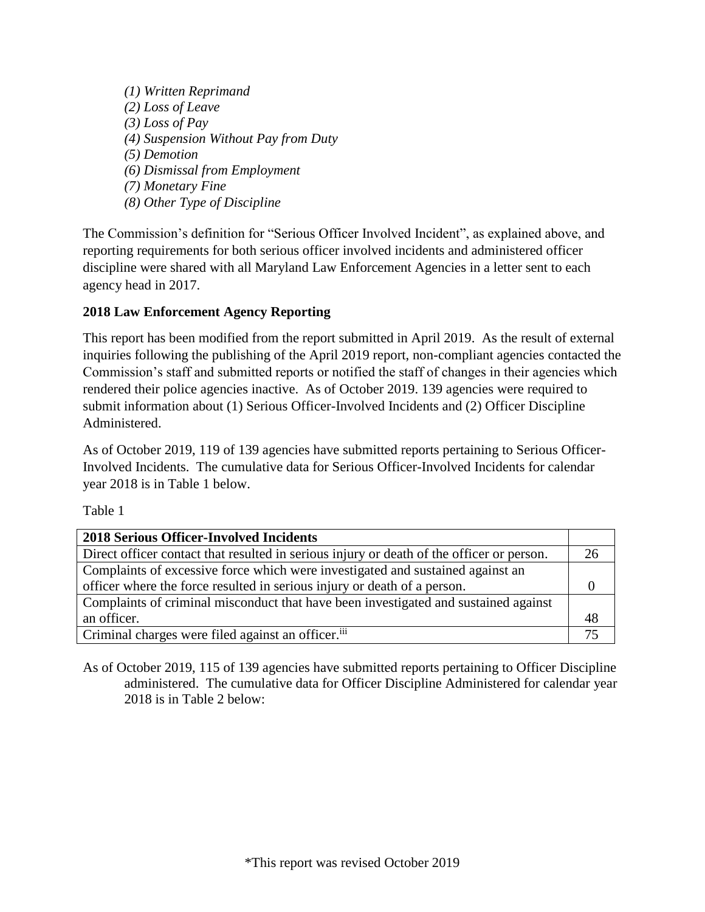*(1) Written Reprimand (2) Loss of Leave (3) Loss of Pay (4) Suspension Without Pay from Duty (5) Demotion (6) Dismissal from Employment (7) Monetary Fine (8) Other Type of Discipline* 

The Commission's definition for "Serious Officer Involved Incident", as explained above, and reporting requirements for both serious officer involved incidents and administered officer discipline were shared with all Maryland Law Enforcement Agencies in a letter sent to each agency head in 2017.

# **2018 Law Enforcement Agency Reporting**

This report has been modified from the report submitted in April 2019. As the result of external inquiries following the publishing of the April 2019 report, non-compliant agencies contacted the Commission's staff and submitted reports or notified the staff of changes in their agencies which rendered their police agencies inactive. As of October 2019. 139 agencies were required to submit information about (1) Serious Officer-Involved Incidents and (2) Officer Discipline Administered.

As of October 2019, 119 of 139 agencies have submitted reports pertaining to Serious Officer-Involved Incidents. The cumulative data for Serious Officer-Involved Incidents for calendar year 2018 is in Table 1 below.

Table 1

| <b>2018 Serious Officer-Involved Incidents</b>                                            |    |
|-------------------------------------------------------------------------------------------|----|
| Direct officer contact that resulted in serious injury or death of the officer or person. | 26 |
| Complaints of excessive force which were investigated and sustained against an            |    |
| officer where the force resulted in serious injury or death of a person.                  |    |
| Complaints of criminal misconduct that have been investigated and sustained against       |    |
| an officer.                                                                               | 48 |
| Criminal charges were filed against an officer. <sup>iii</sup>                            |    |

As of October 2019, 115 of 139 agencies have submitted reports pertaining to Officer Discipline administered. The cumulative data for Officer Discipline Administered for calendar year 2018 is in Table 2 below: